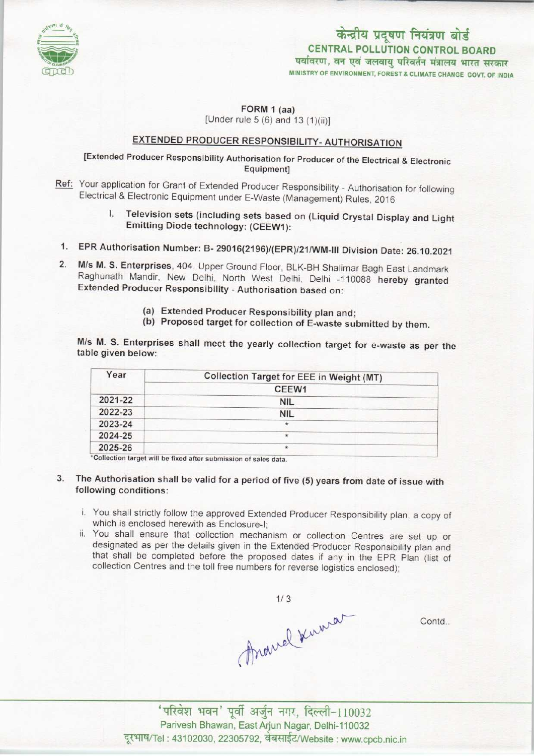

MINISTRY OF ENVIRONMENT, FOREST & CLIMATE CHANGE GOVT, OF INDIA केन्द्रीय प्रदूषण नियंत्रण बोर्ड CENTRAL POLLUTION CONTROL BOARD पर्यावरण, वन एवं जलवायु परिवर्तन मंत्रालय भारत सरकार

 $FORM 1 (aa)$ 

[Under rule  $5(6)$  and  $13(1)(ii)$ ]

## EXTENDED PRODUCER RESPONSIBILITY- AUTHORISATION

## [Extended Producer Responsibility Authorisation for Producer of the Electrical & Electronic Equipment]

- Ref: Your application for Grant of Extended Producer Responsibility Authorisation for following Electrical & Electronic Equipment under E-Waste (Management) Rules, 2016
	- I. Television sets (including sets based on (Liquid Crystal Display and Light Emitting Diode technology: (CEEW1):
- 1.EPR Authorisation Number: B- 29016(2196)/<EPR)/21/WM-lll Division Date: 26.10.2021
- 2.M/s M. S. Enterprises, 404, Upper Ground Floor, BLK-BH Shalimar Bagh East Landmark Raghunath Mandir, New Delhi, North West Delhi, Delhi -110088 hereby granted Extended Producer Responsibility - Authorisation based on:
	- (a)Extended Producer Responsibility plan and;
	- (b) Proposed target for collection of E-waste submitted by them.

M/s M. S. Enterprises shall meet the yearly collection target for e-waste as per the table given below:

| Collection Target for EEE in Weight (MT) |
|------------------------------------------|
| CEEW <sub>1</sub>                        |
| <b>NIL</b>                               |
| <b>NIL</b>                               |
| $^{\star}$                               |
| *                                        |
| $\star$                                  |
|                                          |

Collection target will be fixed after submission of sales data.

- 3. The Authorisation shall be valid for a period of five (5) years from date of issue with following conditions:
	- i. You shall strictly follow the approved Extended Producer Responsibility plan, a copy of which is enclosed herewith as Enclosure-I;
	- ii. You shall ensure that collection mechanism or collection Centres are set up or designated as per the details given in the Extended-Producer Responsibility plan and that shall be completed before the proposed dates if any in the EPR Plan (list of collection Centres and the toll free numbers for reverse logistics enclosed);

Contd.

mavel Kuwa Parivesh Bhawan, East Arjun Nagar, Delhi-110032 दूरभाष/Tel : 43102030, 22305792, वेबसाईट/Website : www.cpcb.nic.in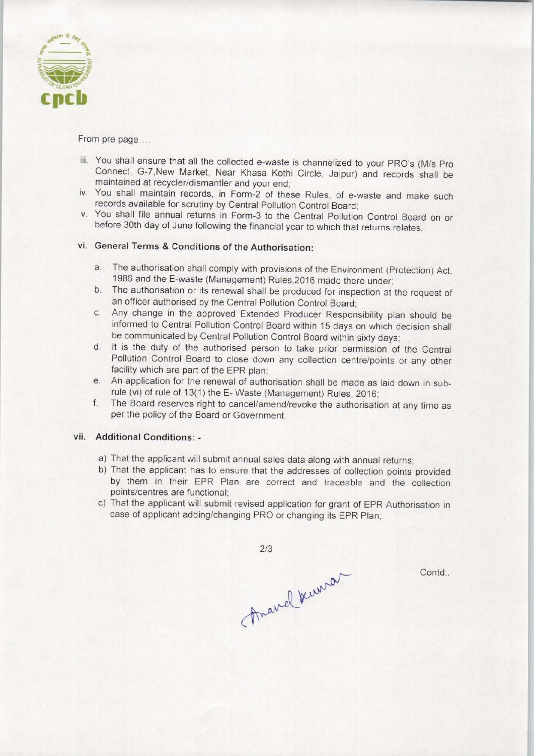

From pre page....

- iii. You shall ensure that all the collected e-waste is channelized to your PRO'S (M/s Pro Connect, G-7,New Market, Near Khasa Kothi Circle, Jaipur) and records shall be maintained at recycler/dismantler and your end;
- iv. You shall maintain records, in Form-2 of these Rules, of e-waste and make such records available for scrutiny by Central Pollution Control Board;
- v. You shall file annual returns in Form-3 to the Central Pollution Control Board on or before 30th day of June following the financial year to which that returns relates.

## vi. General Terms & Conditions of the Authorisation:

- a.The authorisation shall comply with provisions of the Environment (Protection) Act, 1986 and the E-waste (Management) Rules,2016 made there under;
- b.The authorisation or its renewal shall be produced for inspection at the request of an officer authorised by the Central Pollution Control Board;
- c.Any change in the approved Extended Producer Responsibility plan should be informed to Central Pollution Control Board within 15 days on which decision shall be communicated by Central Pollution Control Board within sixty days;
- d.It is the duty of the authorised person to take prior permission of the Central Pollution Control Board to close down any collection centre/points or any other facility which are part of the EPR plan;
- e. An application for the renewal of authorisation shall be made as laid down in subrule (vi) of rule of 13(1) the E-Waste (Management) Rules, 2016;
- f. The Board reserves right to cancel/amend/revoke the authorisation at any time as per the policy of the Board or Government.

## vii. Additional Conditions: -

- a)That the applicant will submit annual sales data along with annual returns;
- b) That the applicant has to ensure that the addresses of collection points provided by them in their EPR Plan are correct and traceable and the collection points/centres are functional;
- c) That the applicant will submit revised application for grant of EPR Authorisation in case of applicant adding/changing PRO or changing its EPR Plan;

 $2/3$ 

Anavel Kernson

Contd.